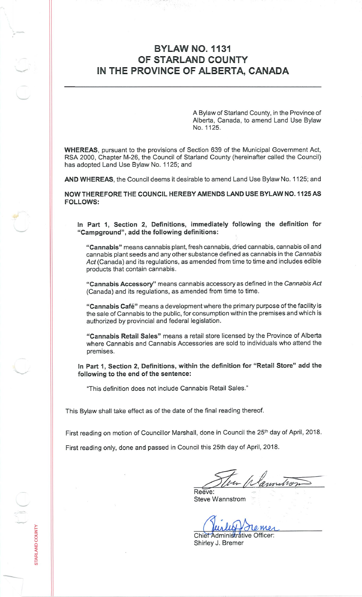## **BYLAW NO. 1131 OF STARLAND COUNTY IN THE PROVINCE OF ALBERTA, CANADA**

A Bylaw of Starland County, in the Province of Alberta, Canada, to amend Land Use Bylaw No. 1125.

**WHEREAS,** pursuant to the provisions of Section 639 of the Municipal Government Act, RSA 2000, Chapter M-26, the Council of Starland County (hereinafter called the Council) has adopted Land Use Bylaw No. 1125; and

**AND WHEREAS,** the Council deems it desirable to amend Land Use Bylaw No. 1125; and

**NOW THEREFORE THE COUNCIL HEREBY AMENDS LAND USE BYLAW NO. 1125 AS FOLLOWS:**

**In Part 1, Section <sup>2</sup>, Definitions, immediately following the definition for "Campground", add the following definitions:**

**"Cannabis"** means cannabis plant,fresh cannabis, dried cannabis, cannabis oil and cannabis plant seeds and any other substance defined as cannabis in the *Cannabis Act* (Canada) and its regulations, as amended from time to time and includes edible products that contain cannabis.

**"Cannabis Accessory"** means cannabis accessory as defined in the *Cannabis Act* (Canada) and its regulations, as amended from time to time.

**"Cannabis Cafe"** means <sup>a</sup> development where the primary purpose of the facilityis the sale of Cannabis to the public, for consumption within the premises and which is authorized by provincial and federal legislation.

**"Cannabis Retail Sales"** means <sup>a</sup> retail store licensed by the Province of Alberta where Cannabis and Cannabis Accessories are sold to individuals who attend the premises.

**In Part 1, Section <sup>2</sup>, Definitions, within the definition for "Retail Store" add the following to the end of the sentence:**

"This definition does not include Cannabis Retail Sales."

This Bylaw shall take effect as of the date of the final reading thereof.

First reading on motion of Councillor Marshall, done in Council the 25<sup>th</sup> day of April, 2018.

First reading only, done and passed in Council this 25th day of April, 2018.

 $\bm{\omega}$ 

mulron Reeve:

Steve Wannstrom

*M4A*

Chief Administrative Officer: Shirley J. Bremer